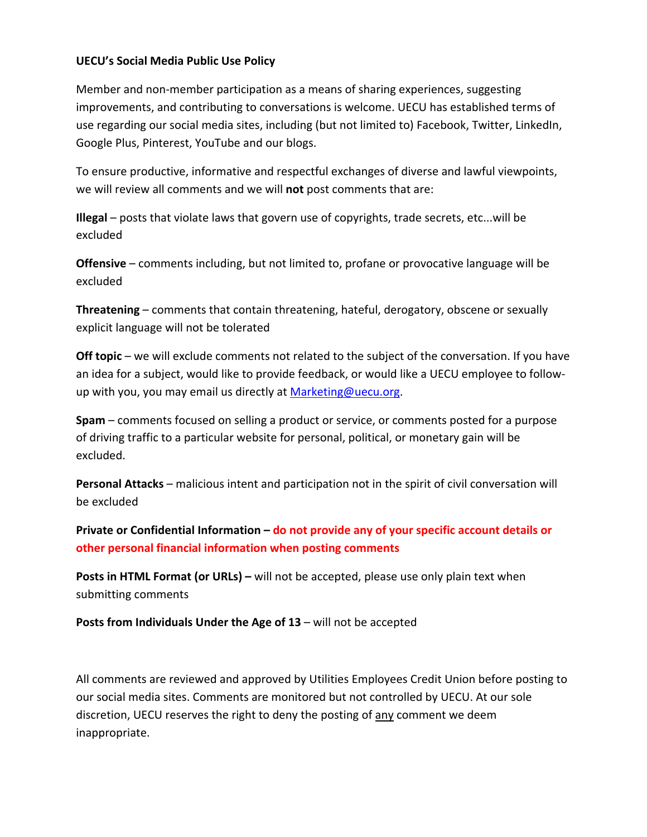## **UECU's Social Media Public Use Policy**

 Member and non‐member participation as a means of sharing experiences, suggesting improvements, and contributing to conversations is welcome. UECU has established terms of use regarding our social media sites, including (but not limited to) Facebook, Twitter, LinkedIn, Google Plus, Pinterest, YouTube and our blogs.

 To ensure productive, informative and respectful exchanges of diverse and lawful viewpoints, we will review all comments and we will **not** post comments that are:

 **Illegal** – posts that violate laws that govern use of copyrights, trade secrets, etc...will be excluded

 **Offensive** – comments including, but not limited to, profane or provocative language will be excluded

 **Threatening** – comments that contain threatening, hateful, derogatory, obscene or sexually explicit language will not be tolerated

 **Off topic** – we will exclude comments not related to the subject of the conversation. If you have an idea for a subject, would like to provide feedback, or would like a UECU employee to follow‐ up with you, you may email us directly at **Marketing@uecu.org**.

 **Spam** – comments focused on selling a product or service, or comments posted for a purpose of driving traffic to a particular website for personal, political, or monetary gain will be excluded.

 **Personal Attacks** – malicious intent and participation not in the spirit of civil conversation will be excluded

Private or Confidential Information – do not provide any of your specific account details or  **other personal financial information when posting comments**

 **Posts in HTML Format (or URLs) –** will not be accepted, please use only plain text when submitting comments

 **Posts from Individuals Under the Age of 13** – will not be accepted

 All comments are reviewed and approved by Utilities Employees Credit Union before posting to our social media sites. Comments are monitored but not controlled by UECU. At our sole discretion, UECU reserves the right to deny the posting of any comment we deem inappropriate.